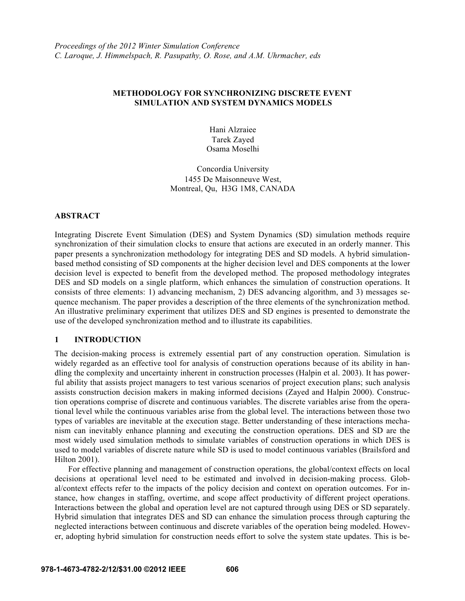## **METHODOLOGY FOR SYNCHRONIZING DISCRETE EVENT SIMULATION AND SYSTEM DYNAMICS MODELS**

Hani Alzraiee Tarek Zayed Osama Moselhi

Concordia University 1455 De Maisonneuve West, Montreal, Qu, H3G 1M8, CANADA

## **ABSTRACT**

Integrating Discrete Event Simulation (DES) and System Dynamics (SD) simulation methods require synchronization of their simulation clocks to ensure that actions are executed in an orderly manner. This paper presents a synchronization methodology for integrating DES and SD models. A hybrid simulationbased method consisting of SD components at the higher decision level and DES components at the lower decision level is expected to benefit from the developed method. The proposed methodology integrates DES and SD models on a single platform, which enhances the simulation of construction operations. It consists of three elements: 1) advancing mechanism, 2) DES advancing algorithm, and 3) messages sequence mechanism. The paper provides a description of the three elements of the synchronization method. An illustrative preliminary experiment that utilizes DES and SD engines is presented to demonstrate the use of the developed synchronization method and to illustrate its capabilities.

## **1 INTRODUCTION**

The decision-making process is extremely essential part of any construction operation. Simulation is widely regarded as an effective tool for analysis of construction operations because of its ability in handling the complexity and uncertainty inherent in construction processes (Halpin et al. 2003). It has powerful ability that assists project managers to test various scenarios of project execution plans; such analysis assists construction decision makers in making informed decisions (Zayed and Halpin 2000). Construction operations comprise of discrete and continuous variables. The discrete variables arise from the operational level while the continuous variables arise from the global level. The interactions between those two types of variables are inevitable at the execution stage. Better understanding of these interactions mechanism can inevitably enhance planning and executing the construction operations. DES and SD are the most widely used simulation methods to simulate variables of construction operations in which DES is used to model variables of discrete nature while SD is used to model continuous variables (Brailsford and Hilton 2001).

For effective planning and management of construction operations, the global/context effects on local decisions at operational level need to be estimated and involved in decision-making process. Global/context effects refer to the impacts of the policy decision and context on operation outcomes. For instance, how changes in staffing, overtime, and scope affect productivity of different project operations. Interactions between the global and operation level are not captured through using DES or SD separately. Hybrid simulation that integrates DES and SD can enhance the simulation process through capturing the neglected interactions between continuous and discrete variables of the operation being modeled. However, adopting hybrid simulation for construction needs effort to solve the system state updates. This is be-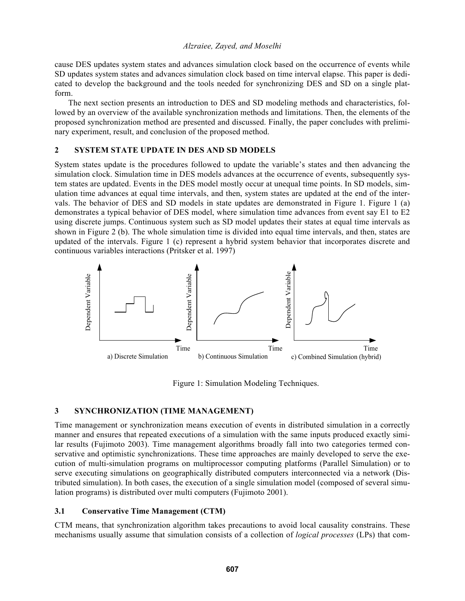cause DES updates system states and advances simulation clock based on the occurrence of events while SD updates system states and advances simulation clock based on time interval elapse. This paper is dedicated to develop the background and the tools needed for synchronizing DES and SD on a single platform.

The next section presents an introduction to DES and SD modeling methods and characteristics, followed by an overview of the available synchronization methods and limitations. Then, the elements of the proposed synchronization method are presented and discussed. Finally, the paper concludes with preliminary experiment, result, and conclusion of the proposed method.

# **2 SYSTEM STATE UPDATE IN DES AND SD MODELS**

System states update is the procedures followed to update the variable's states and then advancing the simulation clock. Simulation time in DES models advances at the occurrence of events, subsequently system states are updated. Events in the DES model mostly occur at unequal time points. In SD models, simulation time advances at equal time intervals, and then, system states are updated at the end of the intervals. The behavior of DES and SD models in state updates are demonstrated in Figure 1. Figure 1 (a) demonstrates a typical behavior of DES model, where simulation time advances from event say E1 to E2 using discrete jumps. Continuous system such as SD model updates their states at equal time intervals as shown in Figure 2 (b). The whole simulation time is divided into equal time intervals, and then, states are updated of the intervals. Figure 1 (c) represent a hybrid system behavior that incorporates discrete and continuous variables interactions (Pritsker et al. 1997)



Figure 1: Simulation Modeling Techniques.

# **3 SYNCHRONIZATION (TIME MANAGEMENT)**

Time management or synchronization means execution of events in distributed simulation in a correctly manner and ensures that repeated executions of a simulation with the same inputs produced exactly similar results (Fujimoto 2003). Time management algorithms broadly fall into two categories termed conservative and optimistic synchronizations. These time approaches are mainly developed to serve the execution of multi-simulation programs on multiprocessor computing platforms (Parallel Simulation) or to serve executing simulations on geographically distributed computers interconnected via a network (Distributed simulation). In both cases, the execution of a single simulation model (composed of several simulation programs) is distributed over multi computers (Fujimoto 2001).

# **3.1 Conservative Time Management (CTM)**

CTM means, that synchronization algorithm takes precautions to avoid local causality constrains. These mechanisms usually assume that simulation consists of a collection of *logical processes* (LPs) that com-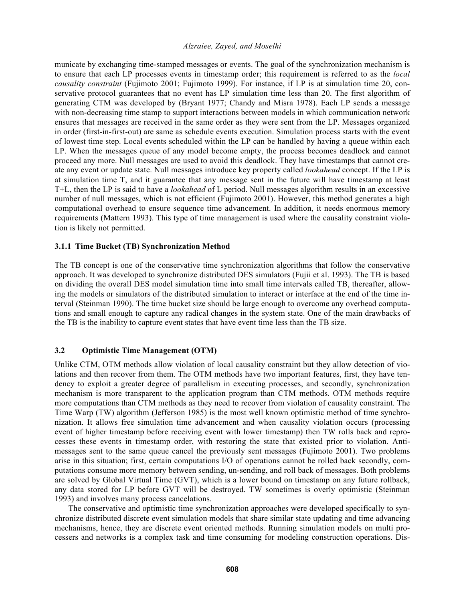municate by exchanging time-stamped messages or events. The goal of the synchronization mechanism is to ensure that each LP processes events in timestamp order; this requirement is referred to as the *local causality constraint* (Fujimoto 2001; Fujimoto 1999). For instance, if LP is at simulation time 20, conservative protocol guarantees that no event has LP simulation time less than 20. The first algorithm of generating CTM was developed by (Bryant 1977; Chandy and Misra 1978). Each LP sends a message with non-decreasing time stamp to support interactions between models in which communication network ensures that messages are received in the same order as they were sent from the LP. Messages organized in order (first-in-first-out) are same as schedule events execution. Simulation process starts with the event of lowest time step. Local events scheduled within the LP can be handled by having a queue within each LP. When the messages queue of any model become empty, the process becomes deadlock and cannot proceed any more. Null messages are used to avoid this deadlock. They have timestamps that cannot create any event or update state. Null messages introduce key property called *lookahead* concept. If the LP is at simulation time T, and it guarantee that any message sent in the future will have timestamp at least T+L, then the LP is said to have a *lookahead* of L period. Null messages algorithm results in an excessive number of null messages, which is not efficient (Fujimoto 2001). However, this method generates a high computational overhead to ensure sequence time advancement. In addition, it needs enormous memory requirements (Mattern 1993). This type of time management is used where the causality constraint violation is likely not permitted.

## **3.1.1 Time Bucket (TB) Synchronization Method**

The TB concept is one of the conservative time synchronization algorithms that follow the conservative approach. It was developed to synchronize distributed DES simulators (Fujii et al. 1993). The TB is based on dividing the overall DES model simulation time into small time intervals called TB, thereafter, allowing the models or simulators of the distributed simulation to interact or interface at the end of the time interval (Steinman 1990). The time bucket size should be large enough to overcome any overhead computations and small enough to capture any radical changes in the system state. One of the main drawbacks of the TB is the inability to capture event states that have event time less than the TB size.

# **3.2 Optimistic Time Management (OTM)**

Unlike CTM, OTM methods allow violation of local causality constraint but they allow detection of violations and then recover from them. The OTM methods have two important features, first, they have tendency to exploit a greater degree of parallelism in executing processes, and secondly, synchronization mechanism is more transparent to the application program than CTM methods. OTM methods require more computations than CTM methods as they need to recover from violation of causality constraint. The Time Warp (TW) algorithm (Jefferson 1985) is the most well known optimistic method of time synchronization. It allows free simulation time advancement and when causality violation occurs (processing event of higher timestamp before receiving event with lower timestamp) then TW rolls back and reprocesses these events in timestamp order, with restoring the state that existed prior to violation. Antimessages sent to the same queue cancel the previously sent messages (Fujimoto 2001). Two problems arise in this situation; first, certain computations I/O of operations cannot be rolled back secondly, computations consume more memory between sending, un-sending, and roll back of messages. Both problems are solved by Global Virtual Time (GVT), which is a lower bound on timestamp on any future rollback, any data stored for LP before GVT will be destroyed. TW sometimes is overly optimistic (Steinman 1993) and involves many process cancelations.

The conservative and optimistic time synchronization approaches were developed specifically to synchronize distributed discrete event simulation models that share similar state updating and time advancing mechanisms, hence, they are discrete event oriented methods. Running simulation models on multi processers and networks is a complex task and time consuming for modeling construction operations. Dis-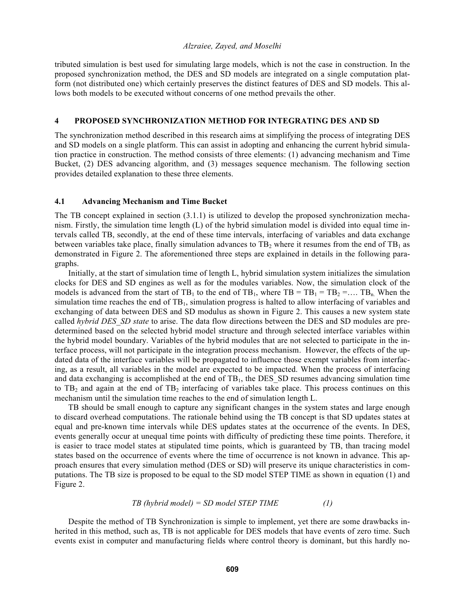tributed simulation is best used for simulating large models, which is not the case in construction. In the proposed synchronization method, the DES and SD models are integrated on a single computation platform (not distributed one) which certainly preserves the distinct features of DES and SD models. This allows both models to be executed without concerns of one method prevails the other.

## **4 PROPOSED SYNCHRONIZATION METHOD FOR INTEGRATING DES AND SD**

The synchronization method described in this research aims at simplifying the process of integrating DES and SD models on a single platform. This can assist in adopting and enhancing the current hybrid simulation practice in construction. The method consists of three elements: (1) advancing mechanism and Time Bucket, (2) DES advancing algorithm, and (3) messages sequence mechanism. The following section provides detailed explanation to these three elements.

## **4.1 Advancing Mechanism and Time Bucket**

The TB concept explained in section (3.1.1) is utilized to develop the proposed synchronization mechanism. Firstly, the simulation time length (L) of the hybrid simulation model is divided into equal time intervals called TB, secondly, at the end of these time intervals, interfacing of variables and data exchange between variables take place, finally simulation advances to  $TB_2$  where it resumes from the end of  $TB_1$  as demonstrated in Figure 2. The aforementioned three steps are explained in details in the following paragraphs.

 Initially, at the start of simulation time of length L, hybrid simulation system initializes the simulation clocks for DES and SD engines as well as for the modules variables. Now, the simulation clock of the models is advanced from the start of  $TB_1$  to the end of  $TB_1$ , where  $TB = TB_1 = TB_2 = ... TB_n$ . When the simulation time reaches the end of  $TB<sub>1</sub>$ , simulation progress is halted to allow interfacing of variables and exchanging of data between DES and SD modulus as shown in Figure 2. This causes a new system state called *hybrid DES\_SD state* to arise. The data flow directions between the DES and SD modules are predetermined based on the selected hybrid model structure and through selected interface variables within the hybrid model boundary. Variables of the hybrid modules that are not selected to participate in the interface process, will not participate in the integration process mechanism. However, the effects of the updated data of the interface variables will be propagated to influence those exempt variables from interfacing, as a result, all variables in the model are expected to be impacted. When the process of interfacing and data exchanging is accomplished at the end of  $TB<sub>1</sub>$ , the DES  $SD$  resumes advancing simulation time to  $TB_2$  and again at the end of  $TB_2$  interfacing of variables take place. This process continues on this mechanism until the simulation time reaches to the end of simulation length L.

TB should be small enough to capture any significant changes in the system states and large enough to discard overhead computations. The rationale behind using the TB concept is that SD updates states at equal and pre-known time intervals while DES updates states at the occurrence of the events. In DES, events generally occur at unequal time points with difficulty of predicting these time points. Therefore, it is easier to trace model states at stipulated time points, which is guaranteed by TB, than tracing model states based on the occurrence of events where the time of occurrence is not known in advance. This approach ensures that every simulation method (DES or SD) will preserve its unique characteristics in computations. The TB size is proposed to be equal to the SD model STEP TIME as shown in equation (1) and Figure 2.

#### *TB (hybrid model) = SD model STEP TIME (1)*

Despite the method of TB Synchronization is simple to implement, yet there are some drawbacks inherited in this method, such as, TB is not applicable for DES models that have events of zero time. Such events exist in computer and manufacturing fields where control theory is dominant, but this hardly no-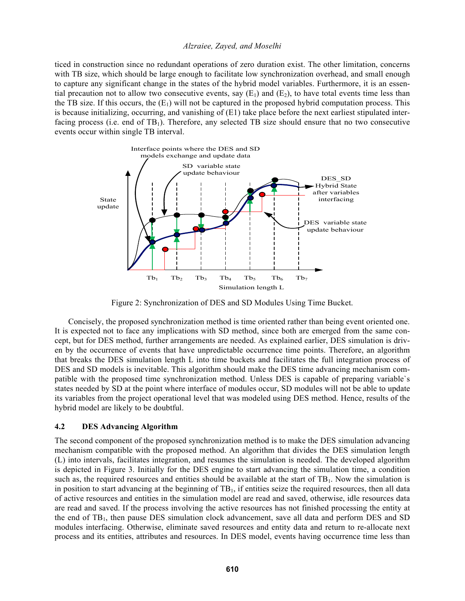ticed in construction since no redundant operations of zero duration exist. The other limitation, concerns with TB size, which should be large enough to facilitate low synchronization overhead, and small enough to capture any significant change in the states of the hybrid model variables. Furthermore, it is an essential precaution not to allow two consecutive events, say  $(E_1)$  and  $(E_2)$ , to have total events time less than the TB size. If this occurs, the  $(E_1)$  will not be captured in the proposed hybrid computation process. This is because initializing, occurring, and vanishing of (E1) take place before the next earliest stipulated interfacing process (i.e. end of  $TB<sub>1</sub>$ ). Therefore, any selected TB size should ensure that no two consecutive events occur within single TB interval.



Figure 2: Synchronization of DES and SD Modules Using Time Bucket.

Concisely, the proposed synchronization method is time oriented rather than being event oriented one. It is expected not to face any implications with SD method, since both are emerged from the same concept, but for DES method, further arrangements are needed. As explained earlier, DES simulation is driven by the occurrence of events that have unpredictable occurrence time points. Therefore, an algorithm that breaks the DES simulation length L into time buckets and facilitates the full integration process of DES and SD models is inevitable. This algorithm should make the DES time advancing mechanism compatible with the proposed time synchronization method. Unless DES is capable of preparing variable`s states needed by SD at the point where interface of modules occur, SD modules will not be able to update its variables from the project operational level that was modeled using DES method. Hence, results of the hybrid model are likely to be doubtful.

## **4.2 DES Advancing Algorithm**

The second component of the proposed synchronization method is to make the DES simulation advancing mechanism compatible with the proposed method. An algorithm that divides the DES simulation length (L) into intervals, facilitates integration, and resumes the simulation is needed. The developed algorithm is depicted in Figure 3. Initially for the DES engine to start advancing the simulation time, a condition such as, the required resources and entities should be available at the start of  $TB<sub>1</sub>$ . Now the simulation is in position to start advancing at the beginning of  $TB<sub>1</sub>$ , if entities seize the required resources, then all data of active resources and entities in the simulation model are read and saved, otherwise, idle resources data are read and saved. If the process involving the active resources has not finished processing the entity at the end of  $TB<sub>1</sub>$ , then pause DES simulation clock advancement, save all data and perform DES and SD modules interfacing. Otherwise, eliminate saved resources and entity data and return to re-allocate next process and its entities, attributes and resources. In DES model, events having occurrence time less than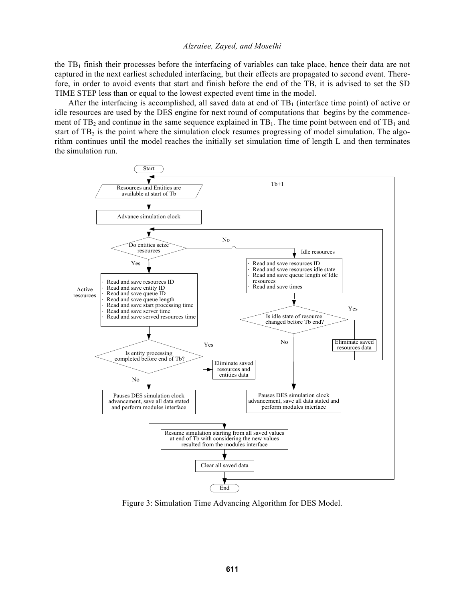the  $TB<sub>1</sub>$  finish their processes before the interfacing of variables can take place, hence their data are not captured in the next earliest scheduled interfacing, but their effects are propagated to second event. Therefore, in order to avoid events that start and finish before the end of the TB, it is advised to set the SD TIME STEP less than or equal to the lowest expected event time in the model.

After the interfacing is accomplished, all saved data at end of  $TB<sub>1</sub>$  (interface time point) of active or idle resources are used by the DES engine for next round of computations that begins by the commencement of TB<sub>2</sub> and continue in the same sequence explained in  $TB<sub>1</sub>$ . The time point between end of TB<sub>1</sub> and start of TB<sub>2</sub> is the point where the simulation clock resumes progressing of model simulation. The algorithm continues until the model reaches the initially set simulation time of length L and then terminates the simulation run.



Figure 3: Simulation Time Advancing Algorithm for DES Model.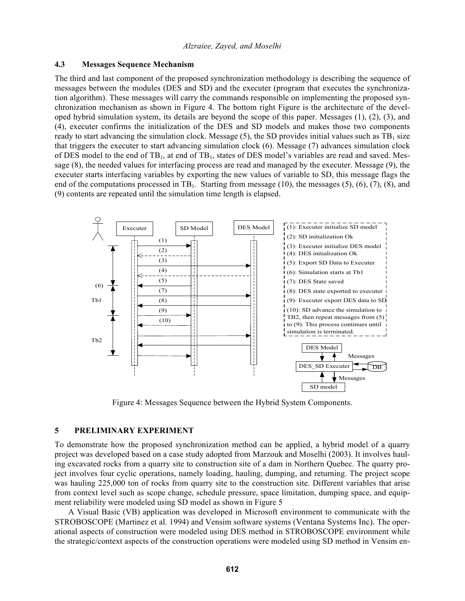#### **4.3 Messages Sequence Mechanism**

The third and last component of the proposed synchronization methodology is describing the sequence of messages between the modules (DES and SD) and the executer (program that executes the synchronization algorithm). These messages will carry the commands responsible on implementing the proposed synchronization mechanism as shown in Figure 4. The bottom right Figure is the architecture of the developed hybrid simulation system, its details are beyond the scope of this paper. Messages (1), (2), (3), and (4), executer confirms the initialization of the DES and SD models and makes those two components ready to start advancing the simulation clock. Message  $(5)$ , the SD provides initial values such as TB<sub>1</sub> size that triggers the executer to start advancing simulation clock (6). Message (7) advances simulation clock of DES model to the end of  $TB<sub>1</sub>$ , at end of  $TB<sub>1</sub>$ , states of DES model's variables are read and saved. Message (8), the needed values for interfacing process are read and managed by the executer. Message (9), the executer starts interfacing variables by exporting the new values of variable to SD, this message flags the end of the computations processed in TB<sub>1</sub>. Starting from message (10), the messages (5), (6), (7), (8), and (9) contents are repeated until the simulation time length is elapsed.



Figure 4: Messages Sequence between the Hybrid System Components.

## **5 PRELIMINARY EXPERIMENT**

To demonstrate how the proposed synchronization method can be applied, a hybrid model of a quarry project was developed based on a case study adopted from Marzouk and Moselhi (2003). It involves hauling excavated rocks from a quarry site to construction site of a dam in Northern Quebec. The quarry project involves four cyclic operations, namely loading, hauling, dumping, and returning. The project scope was hauling 225,000 ton of rocks from quarry site to the construction site. Different variables that arise from context level such as scope change, schedule pressure, space limitation, dumping space, and equipment reliability were modeled using SD model as shown in Figure 5

 A Visual Basic (VB) application was developed in Microsoft environment to communicate with the STROBOSCOPE (Martinez et al. 1994) and Vensim software systems (Ventana Systems Inc). The operational aspects of construction were modeled using DES method in STROBOSCOPE environment while the strategic/context aspects of the construction operations were modeled using SD method in Vensim en-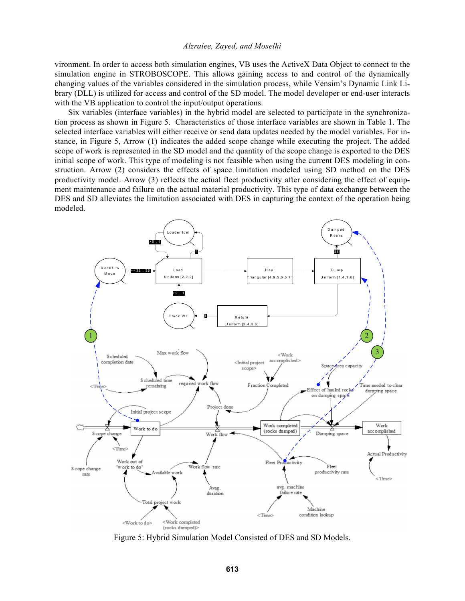vironment. In order to access both simulation engines, VB uses the ActiveX Data Object to connect to the simulation engine in STROBOSCOPE. This allows gaining access to and control of the dynamically changing values of the variables considered in the simulation process, while Vensim's Dynamic Link Library (DLL) is utilized for access and control of the SD model. The model developer or end-user interacts with the VB application to control the input/output operations.

Six variables (interface variables) in the hybrid model are selected to participate in the synchronization process as shown in Figure 5. Characteristics of those interface variables are shown in Table 1. The selected interface variables will either receive or send data updates needed by the model variables. For instance, in Figure 5, Arrow (1) indicates the added scope change while executing the project. The added scope of work is represented in the SD model and the quantity of the scope change is exported to the DES initial scope of work. This type of modeling is not feasible when using the current DES modeling in construction. Arrow (2) considers the effects of space limitation modeled using SD method on the DES productivity model. Arrow (3) reflects the actual fleet productivity after considering the effect of equipment maintenance and failure on the actual material productivity. This type of data exchange between the DES and SD alleviates the limitation associated with DES in capturing the context of the operation being modeled.



Figure 5: Hybrid Simulation Model Consisted of DES and SD Models.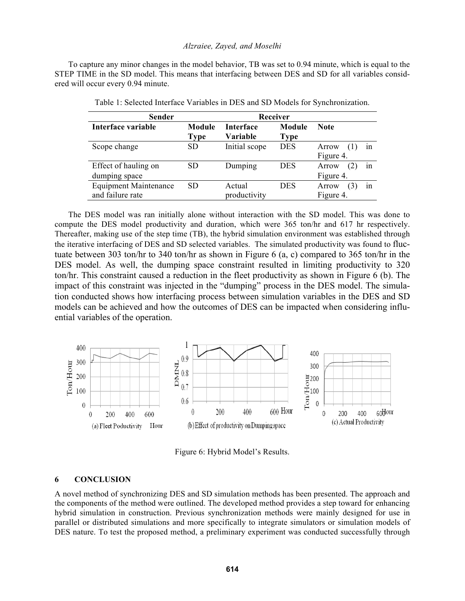To capture any minor changes in the model behavior, TB was set to 0.94 minute, which is equal to the STEP TIME in the SD model. This means that interfacing between DES and SD for all variables considered will occur every 0.94 minute.

| <b>Sender</b>                | Receiver      |                  |             |                    |
|------------------------------|---------------|------------------|-------------|--------------------|
| Interface variable           | <b>Module</b> | <b>Interface</b> | Module      | <b>Note</b>        |
|                              | <b>Type</b>   | Variable         | <b>Type</b> |                    |
| Scope change                 | <b>SD</b>     | Initial scope    | <b>DES</b>  | Arrow<br>1n<br>(1) |
|                              |               |                  |             | Figure 4.          |
| Effect of hauling on         | <b>SD</b>     | Dumping          | DES         | Arrow<br>(2)<br>1n |
| dumping space                |               |                  |             | Figure 4.          |
| <b>Equipment Maintenance</b> | <b>SD</b>     | Actual           | <b>DES</b>  | (3)<br>Arrow<br>1n |
| and failure rate             |               | productivity     |             | Figure 4.          |

Table 1: Selected Interface Variables in DES and SD Models for Synchronization.

 The DES model was ran initially alone without interaction with the SD model. This was done to compute the DES model productivity and duration, which were 365 ton/hr and 617 hr respectively. Thereafter, making use of the step time (TB), the hybrid simulation environment was established through the iterative interfacing of DES and SD selected variables. The simulated productivity was found to fluctuate between 303 ton/hr to 340 ton/hr as shown in Figure 6 (a, c) compared to 365 ton/hr in the DES model. As well, the dumping space constraint resulted in limiting productivity to 320 ton/hr. This constraint caused a reduction in the fleet productivity as shown in Figure 6 (b). The impact of this constraint was injected in the "dumping" process in the DES model. The simulation conducted shows how interfacing process between simulation variables in the DES and SD models can be achieved and how the outcomes of DES can be impacted when considering influential variables of the operation.



Figure 6: Hybrid Model's Results.

#### **6 CONCLUSION**

A novel method of synchronizing DES and SD simulation methods has been presented. The approach and the components of the method were outlined. The developed method provides a step toward for enhancing hybrid simulation in construction. Previous synchronization methods were mainly designed for use in parallel or distributed simulations and more specifically to integrate simulators or simulation models of DES nature. To test the proposed method, a preliminary experiment was conducted successfully through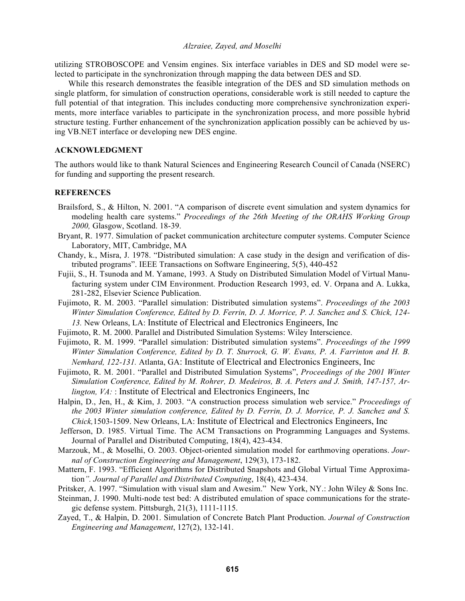utilizing STROBOSCOPE and Vensim engines. Six interface variables in DES and SD model were selected to participate in the synchronization through mapping the data between DES and SD.

While this research demonstrates the feasible integration of the DES and SD simulation methods on single platform, for simulation of construction operations, considerable work is still needed to capture the full potential of that integration. This includes conducting more comprehensive synchronization experiments, more interface variables to participate in the synchronization process, and more possible hybrid structure testing. Further enhancement of the synchronization application possibly can be achieved by using VB.NET interface or developing new DES engine.

## **ACKNOWLEDGMENT**

The authors would like to thank Natural Sciences and Engineering Research Council of Canada (NSERC) for funding and supporting the present research.

## **REFERENCES**

- Brailsford, S., & Hilton, N. 2001. "A comparison of discrete event simulation and system dynamics for modeling health care systems." *Proceedings of the 26th Meeting of the ORAHS Working Group 2000,* Glasgow, Scotland. 18-39.
- Bryant, R. 1977. Simulation of packet communication architecture computer systems. Computer Science Laboratory, MIT, Cambridge, MA
- Chandy, k., Misra, J. 1978. "Distributed simulation: A case study in the design and verification of distributed programs". IEEE Transactions on Software Engineering, 5(5), 440-452
- Fujii, S., H. Tsunoda and M. Yamane, 1993. A Study on Distributed Simulation Model of Virtual Manufacturing system under CIM Environment. Production Research 1993, ed. V. Orpana and A. Lukka, 281-282, Elsevier Science Publication.
- Fujimoto, R. M. 2003. "Parallel simulation: Distributed simulation systems". *Proceedings of the 2003 Winter Simulation Conference, Edited by D. Ferrin, D. J. Morrice, P. J. Sanchez and S. Chick, 124- 13.* New Orleans, LA: Institute of Electrical and Electronics Engineers, Inc
- Fujimoto, R. M. 2000. Parallel and Distributed Simulation Systems: Wiley Interscience.
- Fujimoto, R. M. 1999. "Parallel simulation: Distributed simulation systems". *Proceedings of the 1999 Winter Simulation Conference, Edited by D. T. Sturrock, G. W. Evans, P. A. Farrinton and H. B. Nemhard, 122-131.* Atlanta, GA: Institute of Electrical and Electronics Engineers, Inc
- Fujimoto, R. M. 2001. "Parallel and Distributed Simulation Systems", *Proceedings of the 2001 Winter Simulation Conference, Edited by M. Rohrer, D. Medeiros, B. A. Peters and J. Smith, 147-157, Arlington, VA:* : Institute of Electrical and Electronics Engineers, Inc.
- Halpin, D., Jen, H., & Kim, J. 2003. "A construction process simulation web service." *Proceedings of the 2003 Winter simulation conference, Edited by D. Ferrin, D. J. Morrice, P. J. Sanchez and S. Chick,*1503-1509. New Orleans, LA: Institute of Electrical and Electronics Engineers, Inc
- Jefferson, D. 1985. Virtual Time. The ACM Transactions on Programming Languages and Systems. Journal of Parallel and Distributed Computing, 18(4), 423-434.
- Marzouk, M., & Moselhi, O. 2003. Object-oriented simulation model for earthmoving operations. *Journal of Construction Engineering and Management*, 129(3), 173-182.
- Mattern, F. 1993. "Efficient Algorithms for Distributed Snapshots and Global Virtual Time Approximation*". Journal of Parallel and Distributed Computing*, 18(4), 423-434.
- Pritsker, A. 1997. "Simulation with visual slam and Awesim." New York, NY.: John Wiley & Sons Inc.
- Steinman, J. 1990. Multi-node test bed: A distributed emulation of space communications for the strategic defense system. Pittsburgh, 21(3), 1111-1115.
- Zayed, T., & Halpin, D. 2001. Simulation of Concrete Batch Plant Production. *Journal of Construction Engineering and Management*, 127(2), 132-141.